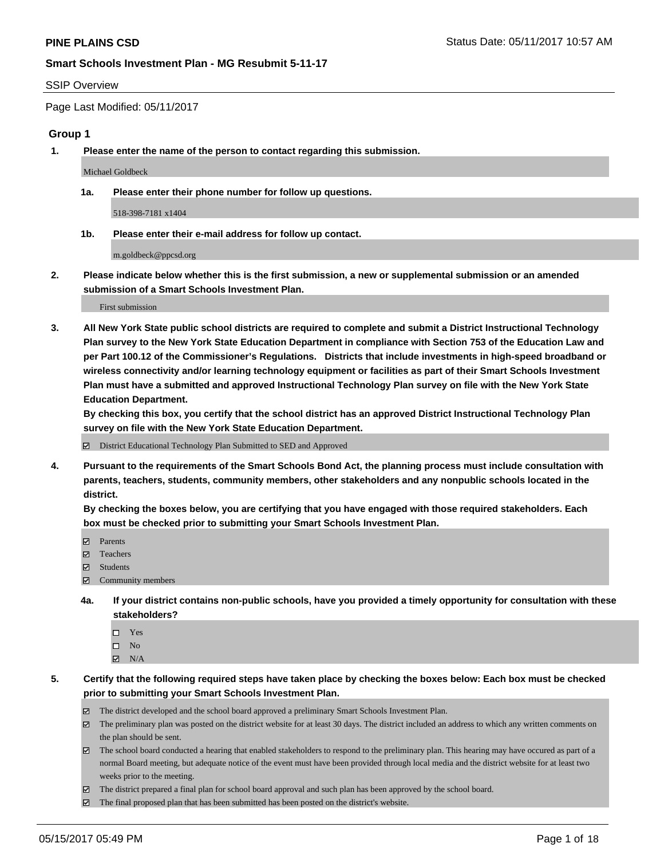#### SSIP Overview

Page Last Modified: 05/11/2017

#### **Group 1**

**1. Please enter the name of the person to contact regarding this submission.**

Michael Goldbeck

**1a. Please enter their phone number for follow up questions.**

518-398-7181 x1404

**1b. Please enter their e-mail address for follow up contact.**

m.goldbeck@ppcsd.org

**2. Please indicate below whether this is the first submission, a new or supplemental submission or an amended submission of a Smart Schools Investment Plan.**

First submission

**3. All New York State public school districts are required to complete and submit a District Instructional Technology Plan survey to the New York State Education Department in compliance with Section 753 of the Education Law and per Part 100.12 of the Commissioner's Regulations. Districts that include investments in high-speed broadband or wireless connectivity and/or learning technology equipment or facilities as part of their Smart Schools Investment Plan must have a submitted and approved Instructional Technology Plan survey on file with the New York State Education Department.** 

**By checking this box, you certify that the school district has an approved District Instructional Technology Plan survey on file with the New York State Education Department.**

District Educational Technology Plan Submitted to SED and Approved

**4. Pursuant to the requirements of the Smart Schools Bond Act, the planning process must include consultation with parents, teachers, students, community members, other stakeholders and any nonpublic schools located in the district.** 

**By checking the boxes below, you are certifying that you have engaged with those required stakeholders. Each box must be checked prior to submitting your Smart Schools Investment Plan.**

- **マ** Parents
- □ Teachers
- Students
- $\Xi$  Community members
- **4a. If your district contains non-public schools, have you provided a timely opportunity for consultation with these stakeholders?**
	- Yes
	- $\hfill \square$  No
	- $\boxtimes$  N/A
- **5. Certify that the following required steps have taken place by checking the boxes below: Each box must be checked prior to submitting your Smart Schools Investment Plan.**
	- The district developed and the school board approved a preliminary Smart Schools Investment Plan.
	- $\boxtimes$  The preliminary plan was posted on the district website for at least 30 days. The district included an address to which any written comments on the plan should be sent.
	- $\boxtimes$  The school board conducted a hearing that enabled stakeholders to respond to the preliminary plan. This hearing may have occured as part of a normal Board meeting, but adequate notice of the event must have been provided through local media and the district website for at least two weeks prior to the meeting.
	- The district prepared a final plan for school board approval and such plan has been approved by the school board.
	- $\boxtimes$  The final proposed plan that has been submitted has been posted on the district's website.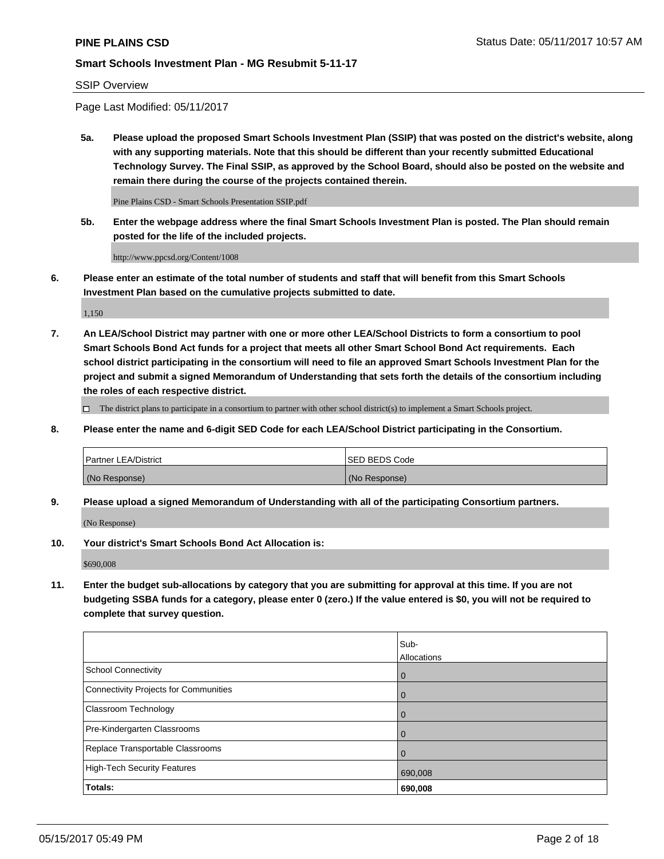SSIP Overview

Page Last Modified: 05/11/2017

**5a. Please upload the proposed Smart Schools Investment Plan (SSIP) that was posted on the district's website, along with any supporting materials. Note that this should be different than your recently submitted Educational Technology Survey. The Final SSIP, as approved by the School Board, should also be posted on the website and remain there during the course of the projects contained therein.**

Pine Plains CSD - Smart Schools Presentation SSIP.pdf

**5b. Enter the webpage address where the final Smart Schools Investment Plan is posted. The Plan should remain posted for the life of the included projects.**

http://www.ppcsd.org/Content/1008

**6. Please enter an estimate of the total number of students and staff that will benefit from this Smart Schools Investment Plan based on the cumulative projects submitted to date.**

1,150

**7. An LEA/School District may partner with one or more other LEA/School Districts to form a consortium to pool Smart Schools Bond Act funds for a project that meets all other Smart School Bond Act requirements. Each school district participating in the consortium will need to file an approved Smart Schools Investment Plan for the project and submit a signed Memorandum of Understanding that sets forth the details of the consortium including the roles of each respective district.**

 $\Box$  The district plans to participate in a consortium to partner with other school district(s) to implement a Smart Schools project.

**8. Please enter the name and 6-digit SED Code for each LEA/School District participating in the Consortium.**

| <b>Partner LEA/District</b> | <b>ISED BEDS Code</b> |
|-----------------------------|-----------------------|
| (No Response)               | (No Response)         |

**9. Please upload a signed Memorandum of Understanding with all of the participating Consortium partners.**

(No Response)

**10. Your district's Smart Schools Bond Act Allocation is:**

\$690,008

**11. Enter the budget sub-allocations by category that you are submitting for approval at this time. If you are not budgeting SSBA funds for a category, please enter 0 (zero.) If the value entered is \$0, you will not be required to complete that survey question.**

|                                              | Sub-        |
|----------------------------------------------|-------------|
|                                              | Allocations |
| <b>School Connectivity</b>                   | 0           |
| <b>Connectivity Projects for Communities</b> | 0           |
| Classroom Technology                         | 0           |
| Pre-Kindergarten Classrooms                  | 0           |
| Replace Transportable Classrooms             | 0           |
| <b>High-Tech Security Features</b>           | 690,008     |
| Totals:                                      | 690,008     |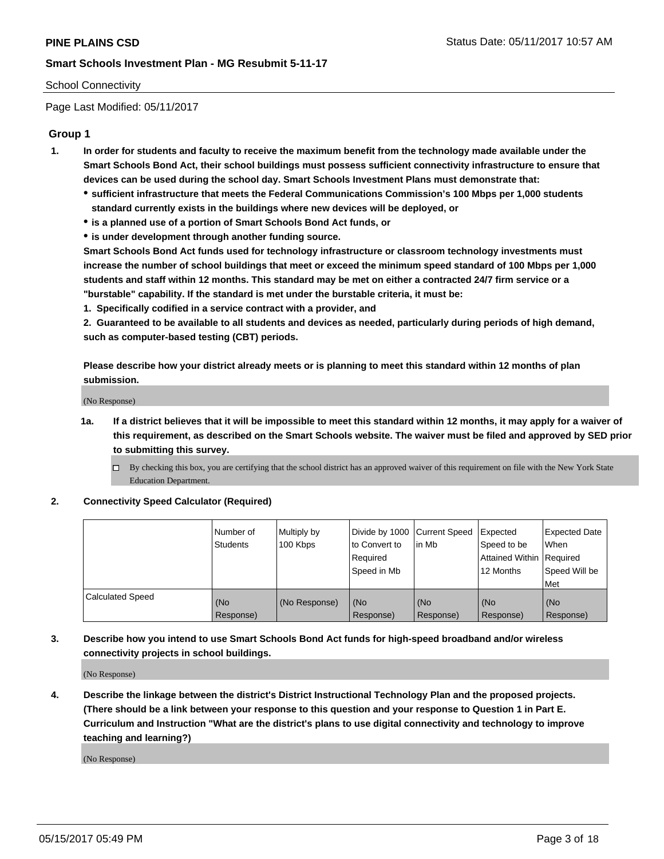## School Connectivity

Page Last Modified: 05/11/2017

# **Group 1**

- **1. In order for students and faculty to receive the maximum benefit from the technology made available under the Smart Schools Bond Act, their school buildings must possess sufficient connectivity infrastructure to ensure that devices can be used during the school day. Smart Schools Investment Plans must demonstrate that:**
	- **sufficient infrastructure that meets the Federal Communications Commission's 100 Mbps per 1,000 students standard currently exists in the buildings where new devices will be deployed, or**
	- **is a planned use of a portion of Smart Schools Bond Act funds, or**
	- **is under development through another funding source.**

**Smart Schools Bond Act funds used for technology infrastructure or classroom technology investments must increase the number of school buildings that meet or exceed the minimum speed standard of 100 Mbps per 1,000 students and staff within 12 months. This standard may be met on either a contracted 24/7 firm service or a "burstable" capability. If the standard is met under the burstable criteria, it must be:**

**1. Specifically codified in a service contract with a provider, and**

**2. Guaranteed to be available to all students and devices as needed, particularly during periods of high demand, such as computer-based testing (CBT) periods.**

**Please describe how your district already meets or is planning to meet this standard within 12 months of plan submission.**

(No Response)

- **1a. If a district believes that it will be impossible to meet this standard within 12 months, it may apply for a waiver of this requirement, as described on the Smart Schools website. The waiver must be filed and approved by SED prior to submitting this survey.**
	- By checking this box, you are certifying that the school district has an approved waiver of this requirement on file with the New York State Education Department.

#### **2. Connectivity Speed Calculator (Required)**

|                         | Number of<br><b>Students</b> | Multiply by<br>100 Kbps | Divide by 1000   Current Speed<br>to Convert to<br>Required<br>Speed in Mb | lin Mb           | Expected<br>Speed to be<br>Attained Within Required<br>12 Months | <b>Expected Date</b><br>When<br>Speed Will be<br>Met |
|-------------------------|------------------------------|-------------------------|----------------------------------------------------------------------------|------------------|------------------------------------------------------------------|------------------------------------------------------|
| <b>Calculated Speed</b> | (No<br>Response)             | (No Response)           | (No<br>Response)                                                           | (No<br>Response) | (No<br>Response)                                                 | (No<br>Response)                                     |

# **3. Describe how you intend to use Smart Schools Bond Act funds for high-speed broadband and/or wireless connectivity projects in school buildings.**

(No Response)

**4. Describe the linkage between the district's District Instructional Technology Plan and the proposed projects. (There should be a link between your response to this question and your response to Question 1 in Part E. Curriculum and Instruction "What are the district's plans to use digital connectivity and technology to improve teaching and learning?)**

(No Response)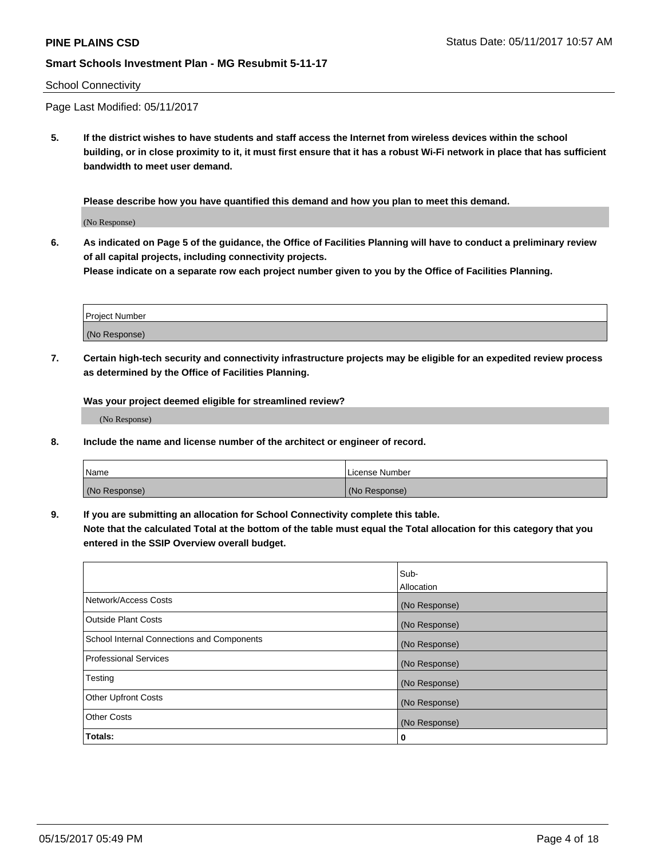#### School Connectivity

Page Last Modified: 05/11/2017

**5. If the district wishes to have students and staff access the Internet from wireless devices within the school building, or in close proximity to it, it must first ensure that it has a robust Wi-Fi network in place that has sufficient bandwidth to meet user demand.**

**Please describe how you have quantified this demand and how you plan to meet this demand.**

(No Response)

**6. As indicated on Page 5 of the guidance, the Office of Facilities Planning will have to conduct a preliminary review of all capital projects, including connectivity projects.**

**Please indicate on a separate row each project number given to you by the Office of Facilities Planning.**

| Project Number |  |
|----------------|--|
|                |  |
| (No Response)  |  |

**7. Certain high-tech security and connectivity infrastructure projects may be eligible for an expedited review process as determined by the Office of Facilities Planning.**

**Was your project deemed eligible for streamlined review?**

(No Response)

**8. Include the name and license number of the architect or engineer of record.**

| Name          | License Number |
|---------------|----------------|
| (No Response) | (No Response)  |

**9. If you are submitting an allocation for School Connectivity complete this table.**

**Note that the calculated Total at the bottom of the table must equal the Total allocation for this category that you entered in the SSIP Overview overall budget.** 

|                                            | Sub-          |
|--------------------------------------------|---------------|
|                                            | Allocation    |
| Network/Access Costs                       | (No Response) |
| Outside Plant Costs                        | (No Response) |
| School Internal Connections and Components | (No Response) |
| <b>Professional Services</b>               | (No Response) |
| Testing                                    | (No Response) |
| <b>Other Upfront Costs</b>                 | (No Response) |
| <b>Other Costs</b>                         | (No Response) |
| Totals:                                    | 0             |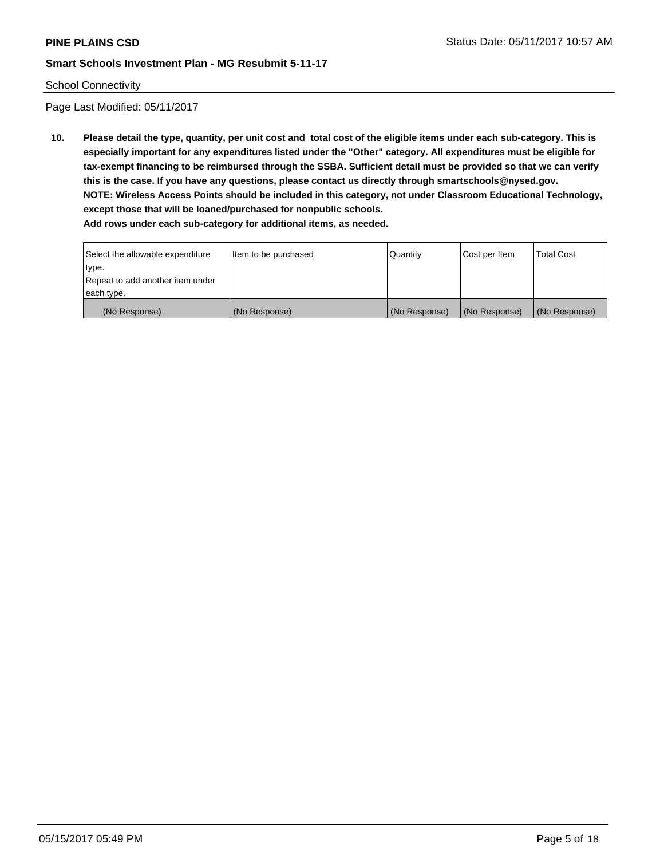#### School Connectivity

Page Last Modified: 05/11/2017

**10. Please detail the type, quantity, per unit cost and total cost of the eligible items under each sub-category. This is especially important for any expenditures listed under the "Other" category. All expenditures must be eligible for tax-exempt financing to be reimbursed through the SSBA. Sufficient detail must be provided so that we can verify this is the case. If you have any questions, please contact us directly through smartschools@nysed.gov. NOTE: Wireless Access Points should be included in this category, not under Classroom Educational Technology, except those that will be loaned/purchased for nonpublic schools. Add rows under each sub-category for additional items, as needed.**

Select the allowable expenditure type. Repeat to add another item under each type. Item to be purchased  $\sqrt{$  Quantity  $\sqrt{}$  Cost per Item  $\sqrt{}$  Total Cost (No Response) (No Response) (No Response) (No Response) (No Response)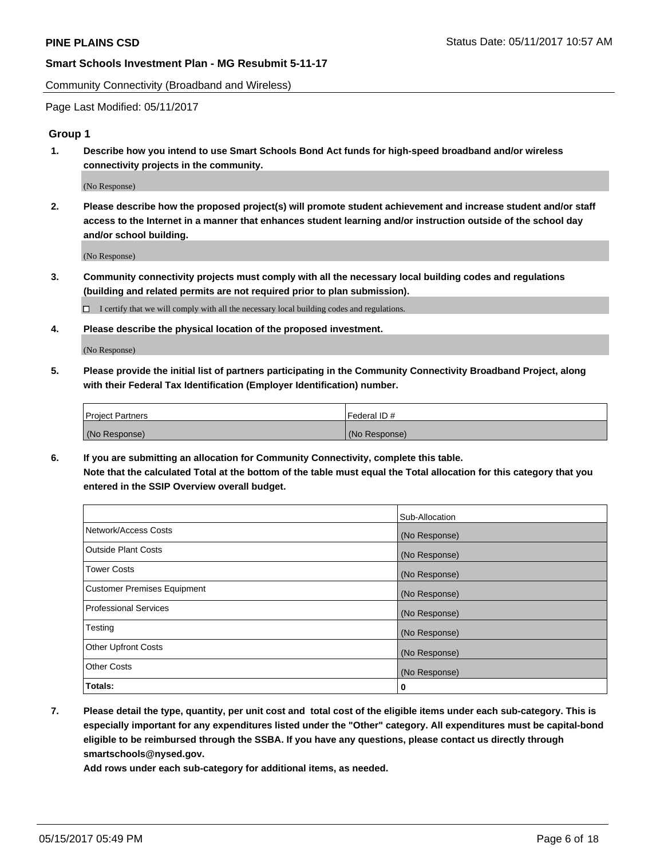Community Connectivity (Broadband and Wireless)

Page Last Modified: 05/11/2017

#### **Group 1**

**1. Describe how you intend to use Smart Schools Bond Act funds for high-speed broadband and/or wireless connectivity projects in the community.**

(No Response)

**2. Please describe how the proposed project(s) will promote student achievement and increase student and/or staff access to the Internet in a manner that enhances student learning and/or instruction outside of the school day and/or school building.**

(No Response)

**3. Community connectivity projects must comply with all the necessary local building codes and regulations (building and related permits are not required prior to plan submission).**

 $\Box$  I certify that we will comply with all the necessary local building codes and regulations.

**4. Please describe the physical location of the proposed investment.**

(No Response)

**5. Please provide the initial list of partners participating in the Community Connectivity Broadband Project, along with their Federal Tax Identification (Employer Identification) number.**

| <b>Project Partners</b> | Federal ID#     |
|-------------------------|-----------------|
| (No Response)           | l (No Response) |

**6. If you are submitting an allocation for Community Connectivity, complete this table. Note that the calculated Total at the bottom of the table must equal the Total allocation for this category that you entered in the SSIP Overview overall budget.**

|                                    | Sub-Allocation |
|------------------------------------|----------------|
| Network/Access Costs               | (No Response)  |
| Outside Plant Costs                | (No Response)  |
| <b>Tower Costs</b>                 | (No Response)  |
| <b>Customer Premises Equipment</b> | (No Response)  |
| <b>Professional Services</b>       | (No Response)  |
| Testing                            | (No Response)  |
| <b>Other Upfront Costs</b>         | (No Response)  |
| <b>Other Costs</b>                 | (No Response)  |
| Totals:                            | 0              |

**7. Please detail the type, quantity, per unit cost and total cost of the eligible items under each sub-category. This is especially important for any expenditures listed under the "Other" category. All expenditures must be capital-bond eligible to be reimbursed through the SSBA. If you have any questions, please contact us directly through smartschools@nysed.gov.**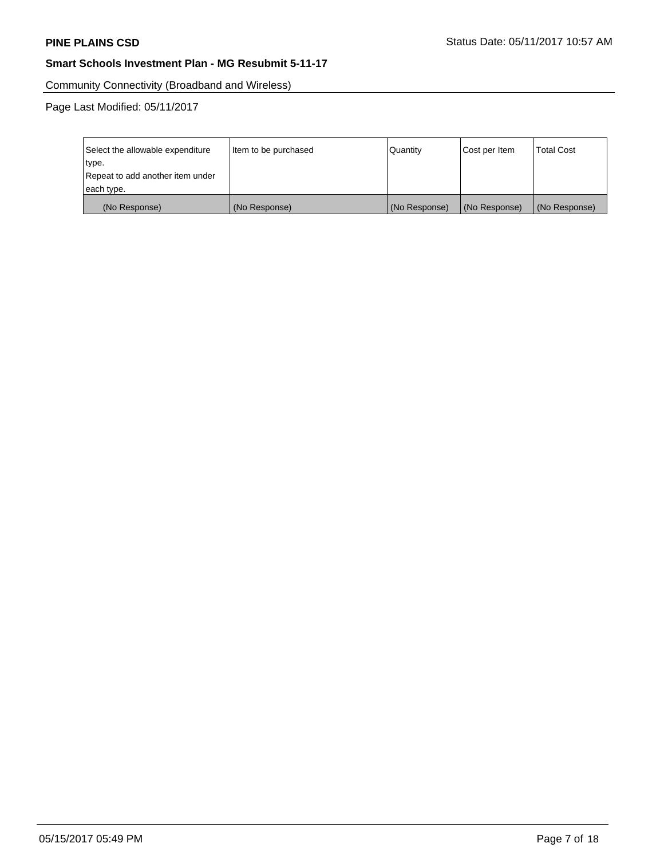Community Connectivity (Broadband and Wireless)

| Select the allowable expenditure | Item to be purchased | Quantity      | Cost per Item | <b>Total Cost</b> |
|----------------------------------|----------------------|---------------|---------------|-------------------|
| type.                            |                      |               |               |                   |
| Repeat to add another item under |                      |               |               |                   |
| each type.                       |                      |               |               |                   |
| (No Response)                    | (No Response)        | (No Response) | (No Response) | (No Response)     |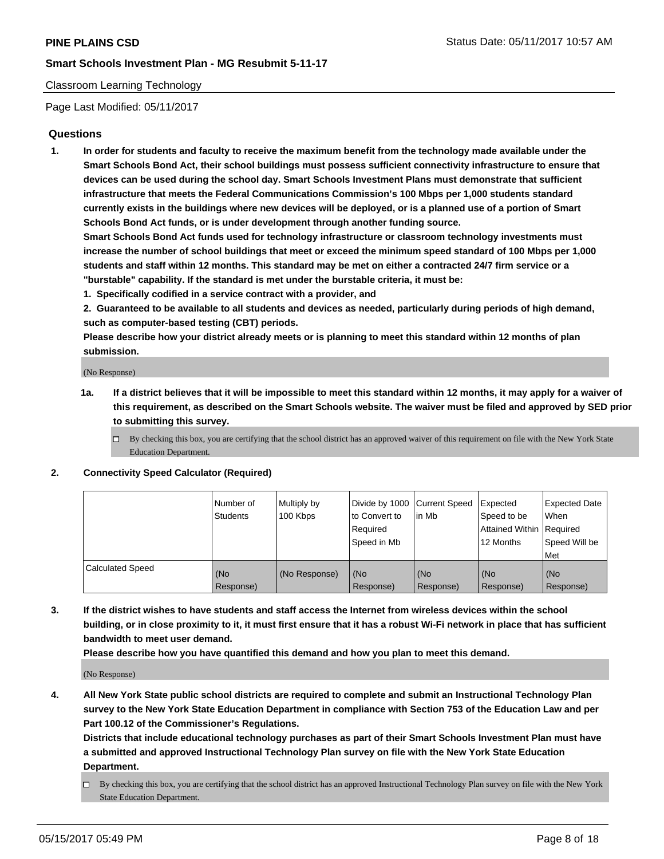## Classroom Learning Technology

Page Last Modified: 05/11/2017

# **Questions**

**1. In order for students and faculty to receive the maximum benefit from the technology made available under the Smart Schools Bond Act, their school buildings must possess sufficient connectivity infrastructure to ensure that devices can be used during the school day. Smart Schools Investment Plans must demonstrate that sufficient infrastructure that meets the Federal Communications Commission's 100 Mbps per 1,000 students standard currently exists in the buildings where new devices will be deployed, or is a planned use of a portion of Smart Schools Bond Act funds, or is under development through another funding source.**

**Smart Schools Bond Act funds used for technology infrastructure or classroom technology investments must increase the number of school buildings that meet or exceed the minimum speed standard of 100 Mbps per 1,000 students and staff within 12 months. This standard may be met on either a contracted 24/7 firm service or a "burstable" capability. If the standard is met under the burstable criteria, it must be:**

- **1. Specifically codified in a service contract with a provider, and**
- **2. Guaranteed to be available to all students and devices as needed, particularly during periods of high demand, such as computer-based testing (CBT) periods.**

**Please describe how your district already meets or is planning to meet this standard within 12 months of plan submission.**

(No Response)

- **1a. If a district believes that it will be impossible to meet this standard within 12 months, it may apply for a waiver of this requirement, as described on the Smart Schools website. The waiver must be filed and approved by SED prior to submitting this survey.**
	- $\Box$  By checking this box, you are certifying that the school district has an approved waiver of this requirement on file with the New York State Education Department.

#### **2. Connectivity Speed Calculator (Required)**

|                         | l Number of<br>Students | Multiply by<br>100 Kbps | Divide by 1000   Current Speed<br>to Convert to<br>Required<br>Speed in Mb | l in Mb          | Expected<br>Speed to be<br>Attained Within Required<br>12 Months | <b>Expected Date</b><br>When<br>Speed Will be<br>Met |
|-------------------------|-------------------------|-------------------------|----------------------------------------------------------------------------|------------------|------------------------------------------------------------------|------------------------------------------------------|
| <b>Calculated Speed</b> | (No<br>Response)        | (No Response)           | (No<br>Response)                                                           | (No<br>Response) | (No<br>Response)                                                 | (No<br>Response)                                     |

**3. If the district wishes to have students and staff access the Internet from wireless devices within the school building, or in close proximity to it, it must first ensure that it has a robust Wi-Fi network in place that has sufficient bandwidth to meet user demand.**

**Please describe how you have quantified this demand and how you plan to meet this demand.**

(No Response)

**4. All New York State public school districts are required to complete and submit an Instructional Technology Plan survey to the New York State Education Department in compliance with Section 753 of the Education Law and per Part 100.12 of the Commissioner's Regulations.**

**Districts that include educational technology purchases as part of their Smart Schools Investment Plan must have a submitted and approved Instructional Technology Plan survey on file with the New York State Education Department.**

 $\Box$  By checking this box, you are certifying that the school district has an approved Instructional Technology Plan survey on file with the New York State Education Department.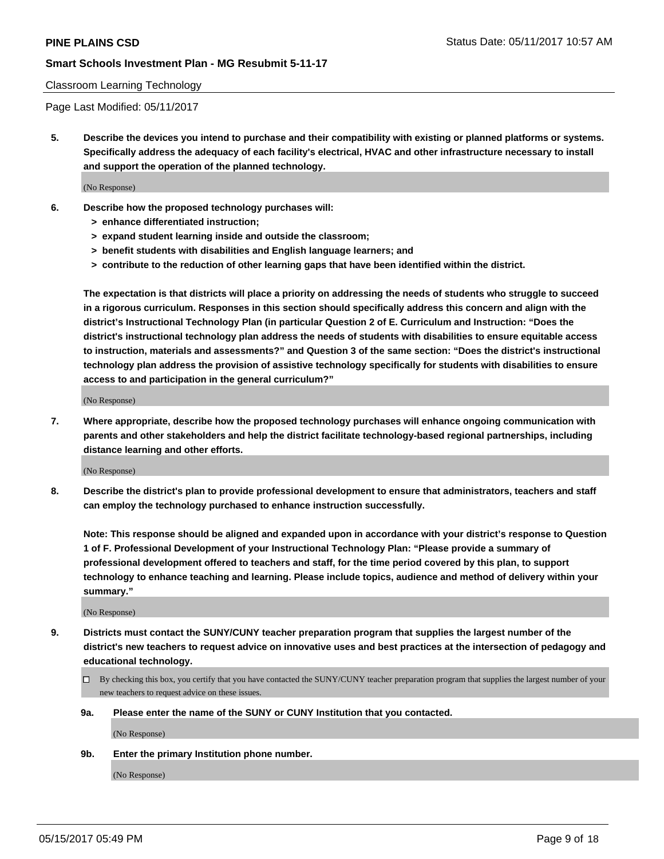#### Classroom Learning Technology

Page Last Modified: 05/11/2017

**5. Describe the devices you intend to purchase and their compatibility with existing or planned platforms or systems. Specifically address the adequacy of each facility's electrical, HVAC and other infrastructure necessary to install and support the operation of the planned technology.**

(No Response)

- **6. Describe how the proposed technology purchases will:**
	- **> enhance differentiated instruction;**
	- **> expand student learning inside and outside the classroom;**
	- **> benefit students with disabilities and English language learners; and**
	- **> contribute to the reduction of other learning gaps that have been identified within the district.**

**The expectation is that districts will place a priority on addressing the needs of students who struggle to succeed in a rigorous curriculum. Responses in this section should specifically address this concern and align with the district's Instructional Technology Plan (in particular Question 2 of E. Curriculum and Instruction: "Does the district's instructional technology plan address the needs of students with disabilities to ensure equitable access to instruction, materials and assessments?" and Question 3 of the same section: "Does the district's instructional technology plan address the provision of assistive technology specifically for students with disabilities to ensure access to and participation in the general curriculum?"**

(No Response)

**7. Where appropriate, describe how the proposed technology purchases will enhance ongoing communication with parents and other stakeholders and help the district facilitate technology-based regional partnerships, including distance learning and other efforts.**

(No Response)

**8. Describe the district's plan to provide professional development to ensure that administrators, teachers and staff can employ the technology purchased to enhance instruction successfully.**

**Note: This response should be aligned and expanded upon in accordance with your district's response to Question 1 of F. Professional Development of your Instructional Technology Plan: "Please provide a summary of professional development offered to teachers and staff, for the time period covered by this plan, to support technology to enhance teaching and learning. Please include topics, audience and method of delivery within your summary."**

(No Response)

- **9. Districts must contact the SUNY/CUNY teacher preparation program that supplies the largest number of the district's new teachers to request advice on innovative uses and best practices at the intersection of pedagogy and educational technology.**
	- By checking this box, you certify that you have contacted the SUNY/CUNY teacher preparation program that supplies the largest number of your new teachers to request advice on these issues.
	- **9a. Please enter the name of the SUNY or CUNY Institution that you contacted.**

(No Response)

**9b. Enter the primary Institution phone number.**

(No Response)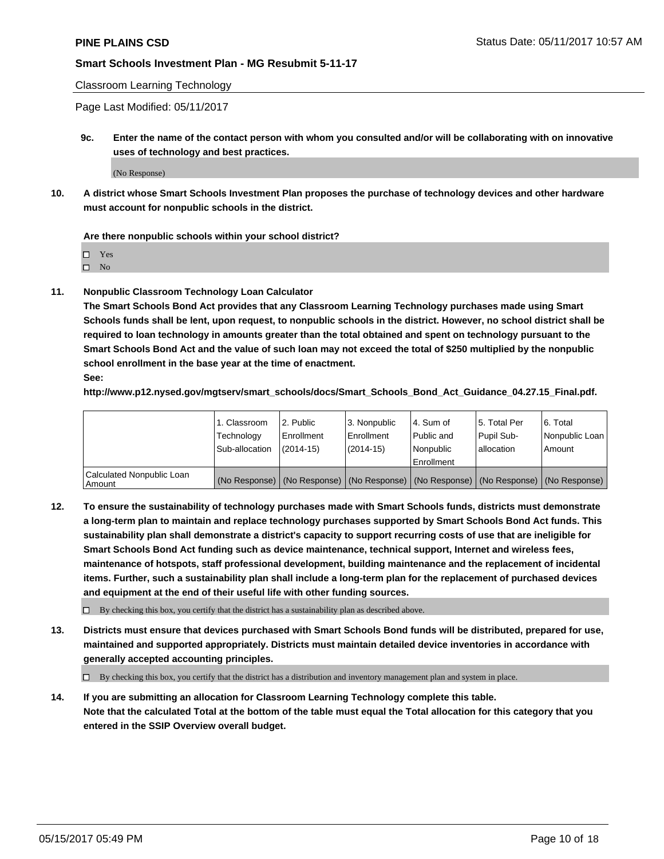Classroom Learning Technology

Page Last Modified: 05/11/2017

**9c. Enter the name of the contact person with whom you consulted and/or will be collaborating with on innovative uses of technology and best practices.**

(No Response)

**10. A district whose Smart Schools Investment Plan proposes the purchase of technology devices and other hardware must account for nonpublic schools in the district.**

**Are there nonpublic schools within your school district?**

Yes

 $\square$  No

**11. Nonpublic Classroom Technology Loan Calculator**

**The Smart Schools Bond Act provides that any Classroom Learning Technology purchases made using Smart Schools funds shall be lent, upon request, to nonpublic schools in the district. However, no school district shall be required to loan technology in amounts greater than the total obtained and spent on technology pursuant to the Smart Schools Bond Act and the value of such loan may not exceed the total of \$250 multiplied by the nonpublic school enrollment in the base year at the time of enactment.**

**See:**

**http://www.p12.nysed.gov/mgtserv/smart\_schools/docs/Smart\_Schools\_Bond\_Act\_Guidance\_04.27.15\_Final.pdf.**

|                                       | 1. Classroom   | 2. Public  | 3. Nonpublic | l 4. Sum of | l 5. Total Per | l 6. Total                                                                                    |
|---------------------------------------|----------------|------------|--------------|-------------|----------------|-----------------------------------------------------------------------------------------------|
|                                       | Technology     | Enrollment | Enrollment   | Public and  | Pupil Sub-     | Nonpublic Loan                                                                                |
|                                       | Sub-allocation | (2014-15)  | (2014-15)    | l Nonpublic | allocation     | Amount                                                                                        |
|                                       |                |            |              | Enrollment  |                |                                                                                               |
| Calculated Nonpublic Loan<br>  Amount |                |            |              |             |                | (No Response)   (No Response)   (No Response)   (No Response)   (No Response)   (No Response) |

**12. To ensure the sustainability of technology purchases made with Smart Schools funds, districts must demonstrate a long-term plan to maintain and replace technology purchases supported by Smart Schools Bond Act funds. This sustainability plan shall demonstrate a district's capacity to support recurring costs of use that are ineligible for Smart Schools Bond Act funding such as device maintenance, technical support, Internet and wireless fees, maintenance of hotspots, staff professional development, building maintenance and the replacement of incidental items. Further, such a sustainability plan shall include a long-term plan for the replacement of purchased devices and equipment at the end of their useful life with other funding sources.**

 $\Box$  By checking this box, you certify that the district has a sustainability plan as described above.

**13. Districts must ensure that devices purchased with Smart Schools Bond funds will be distributed, prepared for use, maintained and supported appropriately. Districts must maintain detailed device inventories in accordance with generally accepted accounting principles.**

By checking this box, you certify that the district has a distribution and inventory management plan and system in place.

**14. If you are submitting an allocation for Classroom Learning Technology complete this table. Note that the calculated Total at the bottom of the table must equal the Total allocation for this category that you entered in the SSIP Overview overall budget.**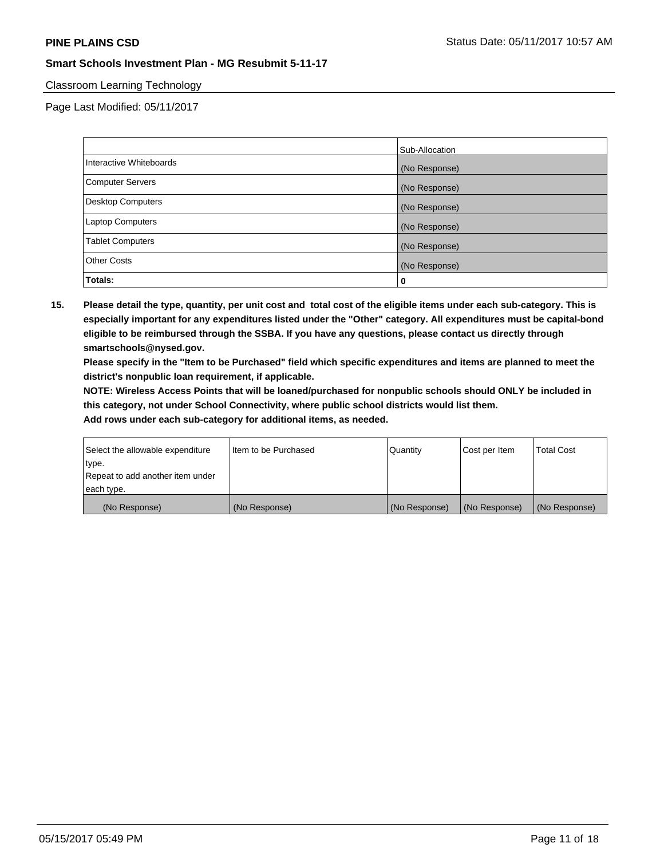## Classroom Learning Technology

Page Last Modified: 05/11/2017

|                          | Sub-Allocation |
|--------------------------|----------------|
| Interactive Whiteboards  | (No Response)  |
| Computer Servers         | (No Response)  |
| <b>Desktop Computers</b> | (No Response)  |
| <b>Laptop Computers</b>  | (No Response)  |
| <b>Tablet Computers</b>  | (No Response)  |
| <b>Other Costs</b>       | (No Response)  |
| Totals:                  | 0              |

**15. Please detail the type, quantity, per unit cost and total cost of the eligible items under each sub-category. This is especially important for any expenditures listed under the "Other" category. All expenditures must be capital-bond eligible to be reimbursed through the SSBA. If you have any questions, please contact us directly through smartschools@nysed.gov.**

**Please specify in the "Item to be Purchased" field which specific expenditures and items are planned to meet the district's nonpublic loan requirement, if applicable.**

**NOTE: Wireless Access Points that will be loaned/purchased for nonpublic schools should ONLY be included in this category, not under School Connectivity, where public school districts would list them.**

| (No Response)                    | (No Response)        | (No Response) | (No Response) | (No Response)     |
|----------------------------------|----------------------|---------------|---------------|-------------------|
| each type.                       |                      |               |               |                   |
| Repeat to add another item under |                      |               |               |                   |
| ∣type.                           |                      |               |               |                   |
| Select the allowable expenditure | Item to be Purchased | Quantity      | Cost per Item | <b>Total Cost</b> |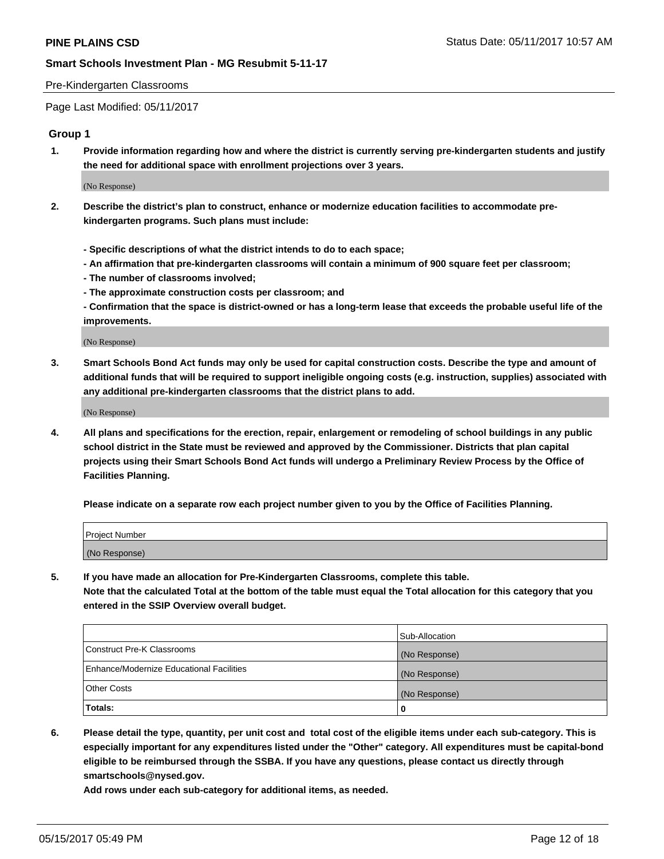#### Pre-Kindergarten Classrooms

Page Last Modified: 05/11/2017

#### **Group 1**

**1. Provide information regarding how and where the district is currently serving pre-kindergarten students and justify the need for additional space with enrollment projections over 3 years.**

(No Response)

- **2. Describe the district's plan to construct, enhance or modernize education facilities to accommodate prekindergarten programs. Such plans must include:**
	- **Specific descriptions of what the district intends to do to each space;**
	- **An affirmation that pre-kindergarten classrooms will contain a minimum of 900 square feet per classroom;**
	- **The number of classrooms involved;**
	- **The approximate construction costs per classroom; and**
	- **Confirmation that the space is district-owned or has a long-term lease that exceeds the probable useful life of the improvements.**

(No Response)

**3. Smart Schools Bond Act funds may only be used for capital construction costs. Describe the type and amount of additional funds that will be required to support ineligible ongoing costs (e.g. instruction, supplies) associated with any additional pre-kindergarten classrooms that the district plans to add.**

(No Response)

**4. All plans and specifications for the erection, repair, enlargement or remodeling of school buildings in any public school district in the State must be reviewed and approved by the Commissioner. Districts that plan capital projects using their Smart Schools Bond Act funds will undergo a Preliminary Review Process by the Office of Facilities Planning.**

**Please indicate on a separate row each project number given to you by the Office of Facilities Planning.**

| Project Number |  |
|----------------|--|
| (No Response)  |  |

**5. If you have made an allocation for Pre-Kindergarten Classrooms, complete this table. Note that the calculated Total at the bottom of the table must equal the Total allocation for this category that you entered in the SSIP Overview overall budget.**

| Totals:                                  | 0              |
|------------------------------------------|----------------|
| Other Costs                              | (No Response)  |
| Enhance/Modernize Educational Facilities | (No Response)  |
| Construct Pre-K Classrooms               | (No Response)  |
|                                          | Sub-Allocation |

**6. Please detail the type, quantity, per unit cost and total cost of the eligible items under each sub-category. This is especially important for any expenditures listed under the "Other" category. All expenditures must be capital-bond eligible to be reimbursed through the SSBA. If you have any questions, please contact us directly through smartschools@nysed.gov.**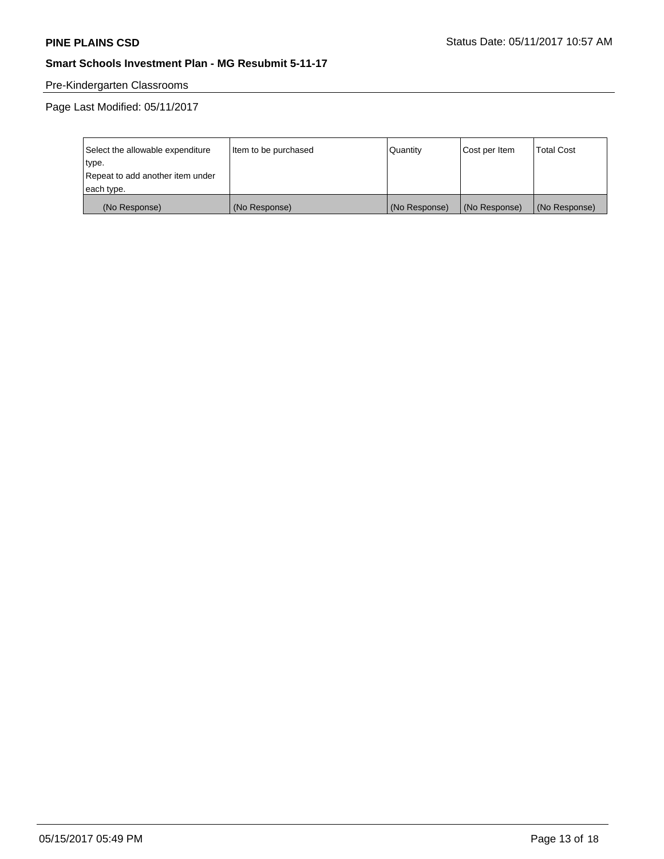# Pre-Kindergarten Classrooms

| Select the allowable expenditure | Item to be purchased | Quantity      | Cost per Item | <b>Total Cost</b> |
|----------------------------------|----------------------|---------------|---------------|-------------------|
| type.                            |                      |               |               |                   |
| Repeat to add another item under |                      |               |               |                   |
| each type.                       |                      |               |               |                   |
| (No Response)                    | (No Response)        | (No Response) | (No Response) | (No Response)     |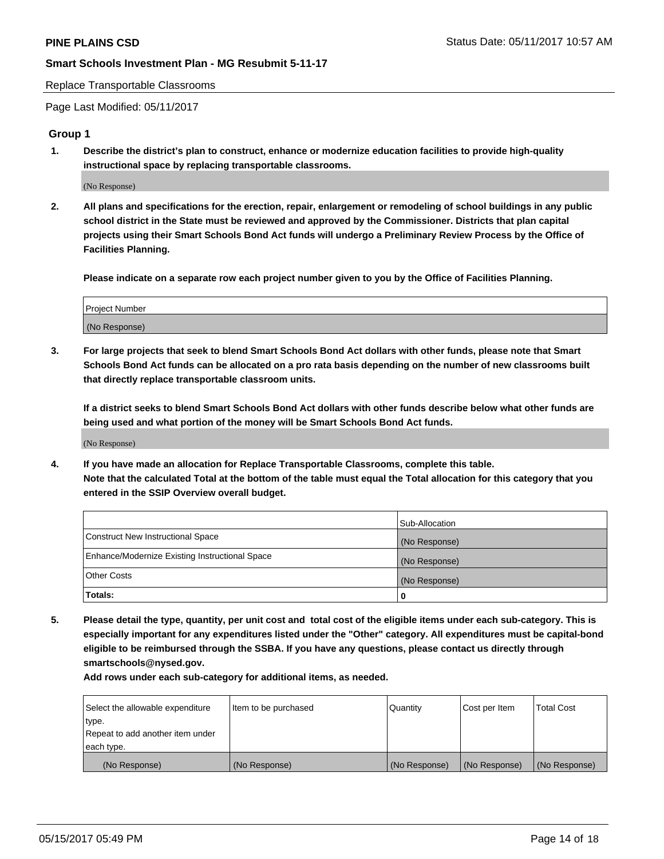Replace Transportable Classrooms

Page Last Modified: 05/11/2017

#### **Group 1**

**1. Describe the district's plan to construct, enhance or modernize education facilities to provide high-quality instructional space by replacing transportable classrooms.**

(No Response)

**2. All plans and specifications for the erection, repair, enlargement or remodeling of school buildings in any public school district in the State must be reviewed and approved by the Commissioner. Districts that plan capital projects using their Smart Schools Bond Act funds will undergo a Preliminary Review Process by the Office of Facilities Planning.**

**Please indicate on a separate row each project number given to you by the Office of Facilities Planning.**

| Project Number |  |
|----------------|--|
| (No Response)  |  |

**3. For large projects that seek to blend Smart Schools Bond Act dollars with other funds, please note that Smart Schools Bond Act funds can be allocated on a pro rata basis depending on the number of new classrooms built that directly replace transportable classroom units.**

**If a district seeks to blend Smart Schools Bond Act dollars with other funds describe below what other funds are being used and what portion of the money will be Smart Schools Bond Act funds.**

(No Response)

**4. If you have made an allocation for Replace Transportable Classrooms, complete this table. Note that the calculated Total at the bottom of the table must equal the Total allocation for this category that you entered in the SSIP Overview overall budget.**

|                                                | Sub-Allocation |
|------------------------------------------------|----------------|
| Construct New Instructional Space              | (No Response)  |
| Enhance/Modernize Existing Instructional Space | (No Response)  |
| Other Costs                                    | (No Response)  |
| Totals:                                        | $\Omega$       |

**5. Please detail the type, quantity, per unit cost and total cost of the eligible items under each sub-category. This is especially important for any expenditures listed under the "Other" category. All expenditures must be capital-bond eligible to be reimbursed through the SSBA. If you have any questions, please contact us directly through smartschools@nysed.gov.**

| Select the allowable expenditure | Item to be purchased | Quantity      | Cost per Item | <b>Total Cost</b> |
|----------------------------------|----------------------|---------------|---------------|-------------------|
| type.                            |                      |               |               |                   |
| Repeat to add another item under |                      |               |               |                   |
| each type.                       |                      |               |               |                   |
| (No Response)                    | (No Response)        | (No Response) | (No Response) | (No Response)     |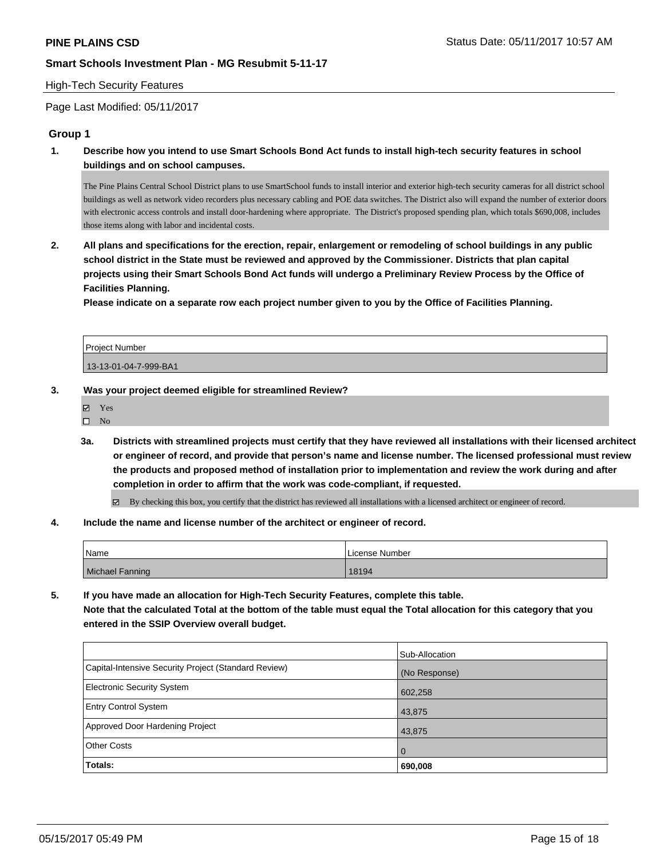#### High-Tech Security Features

Page Last Modified: 05/11/2017

# **Group 1**

**1. Describe how you intend to use Smart Schools Bond Act funds to install high-tech security features in school buildings and on school campuses.**

The Pine Plains Central School District plans to use SmartSchool funds to install interior and exterior high-tech security cameras for all district school buildings as well as network video recorders plus necessary cabling and POE data switches. The District also will expand the number of exterior doors with electronic access controls and install door-hardening where appropriate. The District's proposed spending plan, which totals \$690,008, includes those items along with labor and incidental costs.

**2. All plans and specifications for the erection, repair, enlargement or remodeling of school buildings in any public school district in the State must be reviewed and approved by the Commissioner. Districts that plan capital projects using their Smart Schools Bond Act funds will undergo a Preliminary Review Process by the Office of Facilities Planning.** 

**Please indicate on a separate row each project number given to you by the Office of Facilities Planning.**

Project Number 13-13-01-04-7-999-BA1

#### **3. Was your project deemed eligible for streamlined Review?**

Yes

 $\square$  No

**3a. Districts with streamlined projects must certify that they have reviewed all installations with their licensed architect or engineer of record, and provide that person's name and license number. The licensed professional must review the products and proposed method of installation prior to implementation and review the work during and after completion in order to affirm that the work was code-compliant, if requested.**

By checking this box, you certify that the district has reviewed all installations with a licensed architect or engineer of record.

#### **4. Include the name and license number of the architect or engineer of record.**

| Name            | License Number |
|-----------------|----------------|
| Michael Fanning | 18194          |

**5. If you have made an allocation for High-Tech Security Features, complete this table. Note that the calculated Total at the bottom of the table must equal the Total allocation for this category that you entered in the SSIP Overview overall budget.**

|                                                      | Sub-Allocation |
|------------------------------------------------------|----------------|
| Capital-Intensive Security Project (Standard Review) | (No Response)  |
| Electronic Security System                           | 602,258        |
| <b>Entry Control System</b>                          | 43,875         |
| Approved Door Hardening Project                      | 43,875         |
| <b>Other Costs</b>                                   | $\overline{0}$ |
| Totals:                                              | 690,008        |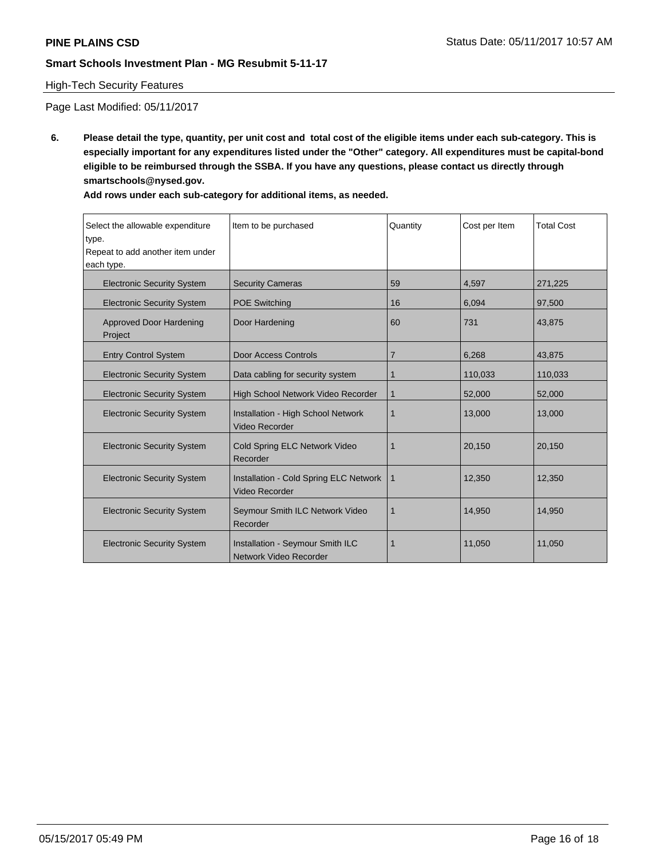# High-Tech Security Features

Page Last Modified: 05/11/2017

**6. Please detail the type, quantity, per unit cost and total cost of the eligible items under each sub-category. This is especially important for any expenditures listed under the "Other" category. All expenditures must be capital-bond eligible to be reimbursed through the SSBA. If you have any questions, please contact us directly through smartschools@nysed.gov.**

| Select the allowable expenditure<br>type.<br>Repeat to add another item under<br>each type. | Item to be purchased                                            | Quantity | Cost per Item | <b>Total Cost</b> |
|---------------------------------------------------------------------------------------------|-----------------------------------------------------------------|----------|---------------|-------------------|
| <b>Electronic Security System</b>                                                           | <b>Security Cameras</b>                                         | 59       | 4,597         | 271,225           |
| <b>Electronic Security System</b>                                                           | <b>POE Switching</b>                                            | 16       | 6,094         | 97,500            |
| <b>Approved Door Hardening</b><br>Project                                                   | Door Hardening                                                  | 60       | 731           | 43,875            |
| <b>Entry Control System</b>                                                                 | <b>Door Access Controls</b>                                     | 7        | 6,268         | 43,875            |
| <b>Electronic Security System</b>                                                           | Data cabling for security system                                | 1        | 110,033       | 110,033           |
| <b>Electronic Security System</b>                                                           | High School Network Video Recorder                              | 1        | 52,000        | 52,000            |
| <b>Electronic Security System</b>                                                           | Installation - High School Network<br><b>Video Recorder</b>     | 1        | 13,000        | 13,000            |
| <b>Electronic Security System</b>                                                           | Cold Spring ELC Network Video<br>Recorder                       | 1        | 20,150        | 20,150            |
| <b>Electronic Security System</b>                                                           | <b>Installation - Cold Spring ELC Network</b><br>Video Recorder | 1        | 12,350        | 12,350            |
| <b>Electronic Security System</b>                                                           | Seymour Smith ILC Network Video<br>Recorder                     | 1        | 14,950        | 14,950            |
| <b>Electronic Security System</b>                                                           | Installation - Seymour Smith ILC<br>Network Video Recorder      | 1        | 11,050        | 11,050            |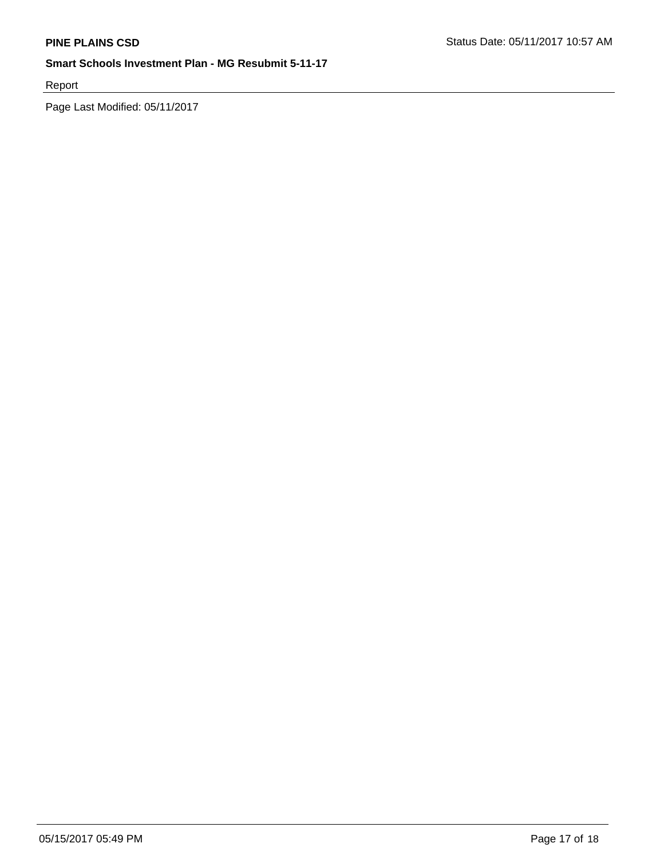Report